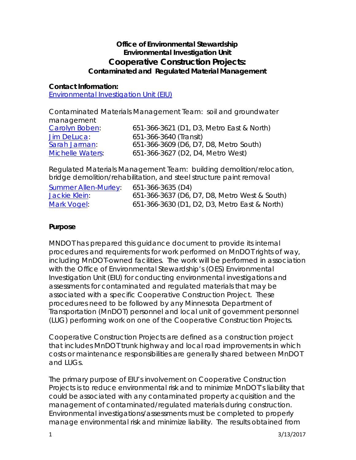## **Office of Environmental Stewardship Environmental Investigation Unit Cooperative Construction Projects: Contaminated and Regulated Material Management**

### **Contact Information:**

[Environmental](http://www.dot.state.mn.us/environment/) Investigation Unit (EIU)

Contaminated Materials Management Team: soil and groundwater

| management              |                                           |
|-------------------------|-------------------------------------------|
| Carolyn Boben:          | 651-366-3621 (D1, D3, Metro East & North) |
| Jim DeLuca:             | 651-366-3640 (Transit)                    |
| Sarah Jarman            | 651-366-3609 (D6, D7, D8, Metro South)    |
| <b>Michelle Waters:</b> | 651-366-3627 (D2, D4, Metro West)         |

Regulated Materials Management Team: building demolition/relocation, bridge demolition/rehabilitation, and steel structure paint removal

| <b>Summer Allen-Murley:</b> | 651-366-3635 (D4)                             |
|-----------------------------|-----------------------------------------------|
| Jackie Klein:               | 651-366-3637 (D6, D7, D8, Metro West & South) |
| Mark Vogel:                 | 651-366-3630 (D1, D2, D3, Metro East & North) |

### **Purpose**

MNDOT has prepared this guidance document to provide its internal procedures and requirements for work performed on MnDOT rights of way, including MnDOT-owned facilities. The work will be performed in association with the Office of Environmental Stewardship's (OES) Environmental Investigation Unit (EIU) for conducting environmental investigations and assessments for contaminated and regulated materials that may be associated with a specific Cooperative Construction Project. These procedures need to be followed by any Minnesota Department of Transportation (MnDOT) personnel and local unit of government personnel (LUG) performing work on one of the Cooperative Construction Projects.

Cooperative Construction Projects are defined as a construction project that includes MnDOT trunk highway and local road improvements in which costs or maintenance responsibilities are generally shared between MnDOT and LUGs.

The primary purpose of EIU's involvement on Cooperative Construction Projects is to reduce environmental risk and to minimize MnDOT's liability that could be associated with any contaminated property acquisition and the management of contaminated/regulated materials during construction. Environmental investigations/assessments must be completed to properly manage environmental risk and minimize liability. The results obtained from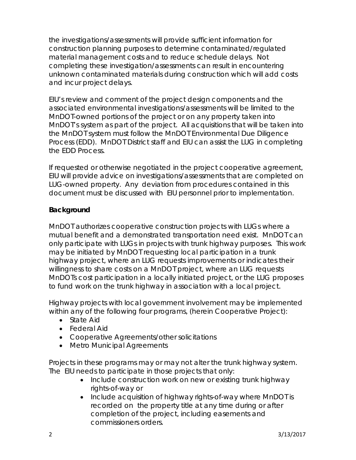the investigations/assessments will provide sufficient information for construction planning purposes to determine contaminated/regulated material management costs and to reduce schedule delays. Not completing these investigation/assessments can result in encountering unknown contaminated materials during construction which will add costs and incur project delays.

EIU's review and comment of the project design components and the associated environmental investigations/assessments will be limited to the MnDOT-owned portions of the project or on any property taken into MnDOT's system as part of the project. All acquisitions that will be taken into the MnDOT system must follow the MnDOT Environmental Due Diligence Process (EDD). MnDOT District staff and EIU can assist the LUG in completing the EDD Process.

If requested or otherwise negotiated in the project cooperative agreement, EIU will provide advice on investigations/assessments that are completed on LUG-owned property. Any deviation from procedures contained in this document must be discussed with EIU personnel prior to implementation.

## **Background**

MnDOT authorizes cooperative construction projects with LUGs where a mutual benefit and a demonstrated transportation need exist. MnDOT can only participate with LUGs in projects with trunk highway purposes. This work may be initiated by MnDOT requesting local participation in a trunk highway project, where an LUG requests improvements or indicates their willingness to share costs on a MnDOT project, where an LUG requests MnDOTs cost participation in a locally initiated project, or the LUG proposes to fund work on the trunk highway in association with a local project.

Highway projects with local government involvement may be implemented within any of the following four programs, (herein Cooperative Project):

- State Aid
- Federal Aid
- Cooperative Agreements/other solicitations
- Metro Municipal Agreements

Projects in these programs may or may not alter the trunk highway system. The EIU needs to participate in those projects that only:

- Include construction work on new or existing trunk highway rights-of-way or
- Include acquisition of highway rights-of-way where MnDOT is recorded on the property title at any time during or after completion of the project, including easements and commissioners orders.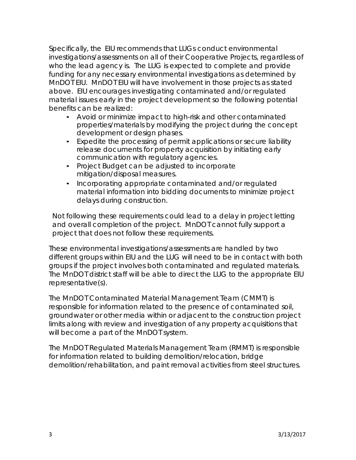Specifically, the EIU recommends that LUGs conduct environmental investigations/assessments on all of their Cooperative Projects, regardless of who the lead agency is. The LUG is expected to complete and provide funding for any necessary environmental investigations as determined by MnDOT EIU. MnDOT EIU will have involvement in those projects as stated above. EIU encourages investigating contaminated and/or regulated material issues early in the project development so the following potential benefits can be realized:

- Avoid or minimize impact to high-risk and other contaminated properties/materials by modifying the project during the concept development or design phases.
- Expedite the processing of permit applications or secure liability release documents for property acquisition by initiating early communication with regulatory agencies.
- Project Budget can be adjusted to incorporate mitigation/disposal measures.
- Incorporating appropriate contaminated and/or regulated material information into bidding documents to minimize project delays during construction.

Not following these requirements could lead to a delay in project letting and overall completion of the project. MnDOT cannot fully support a project that does not follow these requirements.

These environmental investigations/assessments are handled by two different groups within EIU and the LUG will need to be in contact with both groups if the project involves both contaminated and regulated materials. The MnDOT district staff will be able to direct the LUG to the appropriate EIU representative(s).

The MnDOT Contaminated Material Management Team (CMMT) is responsible for information related to the presence of contaminated soil, groundwater or other media within or adjacent to the construction project limits along with review and investigation of any property acquisitions that will become a part of the MnDOT system.

The MnDOT Regulated Materials Management Team (RMMT) is responsible for information related to building demolition/relocation, bridge demolition/rehabilitation, and paint removal activities from steel structures.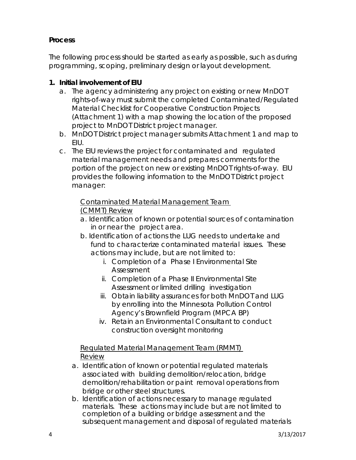## **Process**

The following process should be started as early as possible, such as during programming, scoping, preliminary design or layout development.

## **1. Initial involvement of EIU**

- a. The agency administering any project on existing or new MnDOT rights-of-way must submit the completed Contaminated/Regulated Material Checklist for Cooperative Construction Projects (Attachment 1) with a map showing the location of the proposed project to MnDOT District project manager.
- b. MnDOT District project manager submits Attachment 1 and map to EIU.
- c. The EIU reviews the project for contaminated and regulated material management needs and prepares comments for the portion of the project on new or existing MnDOT rights-of-way. EIU provides the following information to the MnDOT District project manager:

# Contaminated Material Management Team

## (CMMT) Review

- a. Identification of known or potential sources of contamination in or near the project area.
- b. Identification of actions the LUG needs to undertake and fund to characterize contaminated material issues. These actions may include, but are not limited to:
	- i. Completion of a Phase I Environmental Site Assessment
	- ii. Completion of a Phase II Environmental Site Assessment or limited drilling investigation
	- iii. Obtain liability assurances for both MnDOT and LUG by enrolling into the Minnesota Pollution Control Agency's Brownfield Program (MPCA BP)
	- iv. Retain an Environmental Consultant to conduct construction oversight monitoring

## Regulated Material Management Team (RMMT) Review

- a. Identification of known or potential regulated materials associated with building demolition/relocation, bridge demolition/rehabilitation or paint removal operations from bridge or other steel structures.
- b. Identification of actions necessary to manage regulated materials. These actions may include but are not limited to completion of a building or bridge assessment and the subsequent management and disposal of regulated materials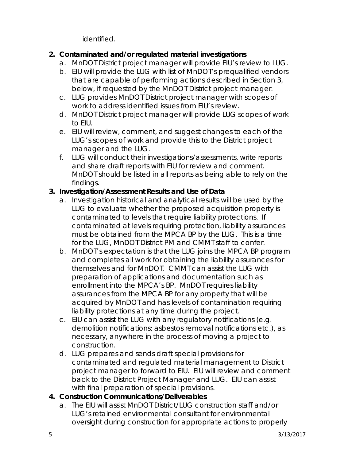identified.

## **2. Contaminated and/or regulated material investigations**

- a. MnDOT District project manager will provide EIU's review to LUG.
- b. EIU will provide the LUG with list of MnDOT's prequalified vendors that are capable of performing actions described in Section 3, below, if requested by the MnDOT District project manager.
- c. LUG provides MnDOT District project manager with scopes of work to address identified issues from EIU's review.
- d. MnDOT District project manager will provide LUG scopes of work to EIU.
- e. EIU will review, comment, and suggest changes to each of the LUG's scopes of work and provide this to the District project manager and the LUG.
- f. LUG will conduct their investigations/assessments, write reports and share draft reports with EIU for review and comment. MnDOT should be listed in all reports as being able to rely on the findings.

## **3. Investigation/Assessment Results and Use of Data**

- a. Investigation historical and analytical results will be used by the LUG to evaluate whether the proposed acquisition property is contaminated to levels that require liability protections. If contaminated at levels requiring protection, liability assurances must be obtained from the MPCA BP by the LUG. This is a time for the LUG, MnDOT District PM and CMMT staff to confer.
- b. MnDOT's expectation is that the LUG joins the MPCA BP program and completes all work for obtaining the liability assurances for themselves and for MnDOT. CMMT can assist the LUG with preparation of applications and documentation such as enrollment into the MPCA's BP. MnDOT requires liability assurances from the MPCA BP for any property that will be acquired by MnDOT and has levels of contamination requiring liability protections at any time during the project.
- c. EIU can assist the LUG with any regulatory notifications (e.g. demolition notifications; asbestos removal notifications etc.), as necessary, anywhere in the process of moving a project to construction.
- d. LUG prepares and sends draft special provisions for contaminated and regulated material management to District project manager to forward to EIU. EIU will review and comment back to the District Project Manager and LUG. EIU can assist with final preparation of special provisions.

## **4. Construction Communications/Deliverables**

a. The EIU will assist MnDOT District/LUG construction staff and/or LUG's retained environmental consultant for environmental oversight during construction for appropriate actions to properly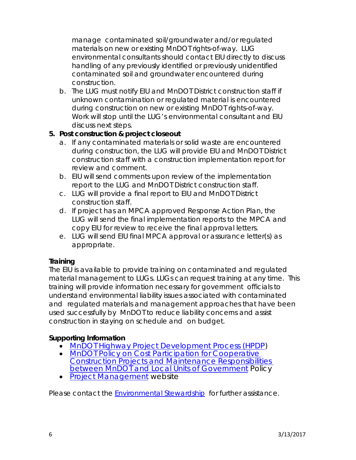manage contaminated soil/groundwater and/or regulated materials on new or existing MnDOT rights-of-way. LUG environmental consultants should contact EIU directly to discuss handling of any previously identified or previously unidentified contaminated soil and groundwater encountered during construction.

b. The LUG must notify EIU and MnDOT District construction staff if unknown contamination or regulated material is encountered during construction on new or existing MnDOT rights-of-way. Work will stop until the LUG's environmental consultant and EIU discuss next steps.

## **5. Post construction & project closeout**

- a. If any contaminated materials or solid waste are encountered during construction, the LUG will provide EIU and MnDOT District construction staff with a construction implementation report for review and comment.
- b. EIU will send comments upon review of the implementation report to the LUG and MnDOT District construction staff.
- c. LUG will provide a final report to EIU and MnDOT District construction staff.
- d. If project has an MPCA approved Response Action Plan, the LUG will send the final implementation reports to the MPCA and copy EIU for review to receive the final approval letters.
- e. LUG will send EIU final MPCA approval or assurance letter(s) as appropriate.

### **Training**

The EIU is available to provide training on contaminated and regulated material management to LUGs. LUGs can request training at any time. This training will provide information necessary for government officials to understand environmental liability issues associated with contaminated and regulated materials and management approaches that have been used successfully by MnDOT to reduce liability concerns and assist construction in staying on schedule and on budget.

## **Supporting Information**

- [MnDOT Highway Project Development Process \(HPDP\)](http://www.dot.state.mn.us/planning/hpdp/)
- MnDOT Policy on Cost Participation for Cooperative [Construction Projects and Maintenance Responsibilities](http://www.dot.state.mn.us/policy/financial/fm011.html)  [between MnDOT and Local Units of Government](http://www.dot.state.mn.us/policy/financial/fm011.html) Policy
- [Project Management](http://www.dot.state.mn.us/pm/index.html) website

Please contact the [Environmental](http://www.dot.state.mn.us/environment/) Stewardship for further assistance.